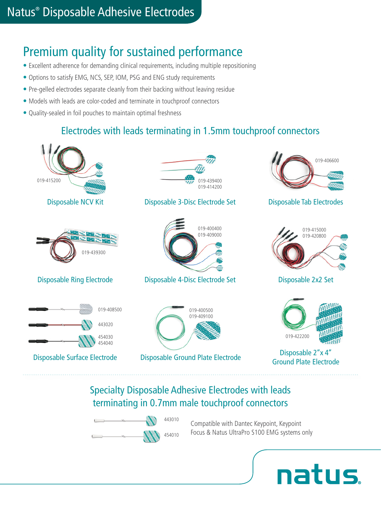# Premium quality for sustained performance

- Excellent adherence for demanding clinical requirements, including multiple repositioning
- Options to satisfy EMG, NCS, SEP, IOM, PSG and ENG study requirements
- Pre-gelled electrodes separate cleanly from their backing without leaving residue
- Models with leads are color-coded and terminate in touchproof connectors
- Quality-sealed in foil pouches to maintain optimal freshness

### Electrodes with leads terminating in 1.5mm touchproof connectors



### Specialty Disposable Adhesive Electrodes with leads terminating in 0.7mm male touchproof connectors

443010 454010

Compatible with Dantec Keypoint, Keypoint Focus & Natus UltraPro S100 EMG systems only